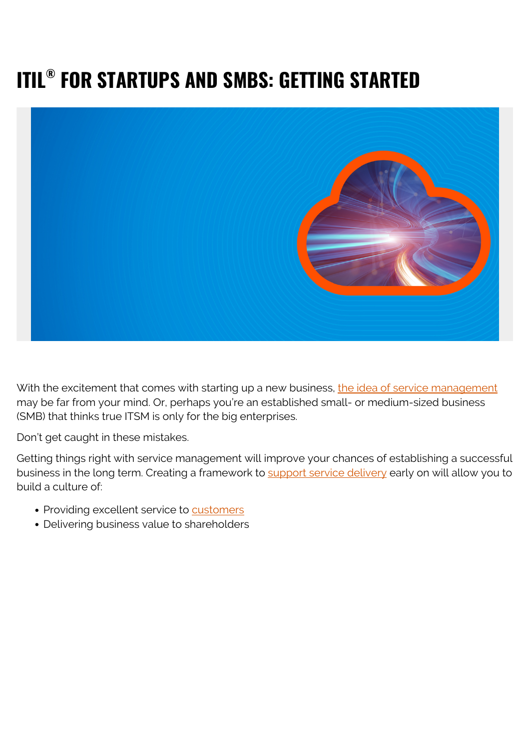# **ITIL® FOR STARTUPS AND SMBS: GETTING STARTED**



With the excitement that comes with starting up a new business, [the idea of service management](https://blogs.bmc.com/blogs/itsm-or-itil-that-isnt-the-question/) may be far from your mind. Or, perhaps you're an established small- or medium-sized business (SMB) that thinks true ITSM is only for the big enterprises.

Don't get caught in these mistakes.

Getting things right with service management will improve your chances of establishing a successful business in the long term. Creating a framework to [support service delivery](https://blogs.bmc.com/blogs/itil-service-delivery/) early on will allow you to build a culture of:

- Providing excellent service to [customers](https://blogs.bmc.com/blogs/internal-vs-external-customers/)
- Delivering business value to shareholders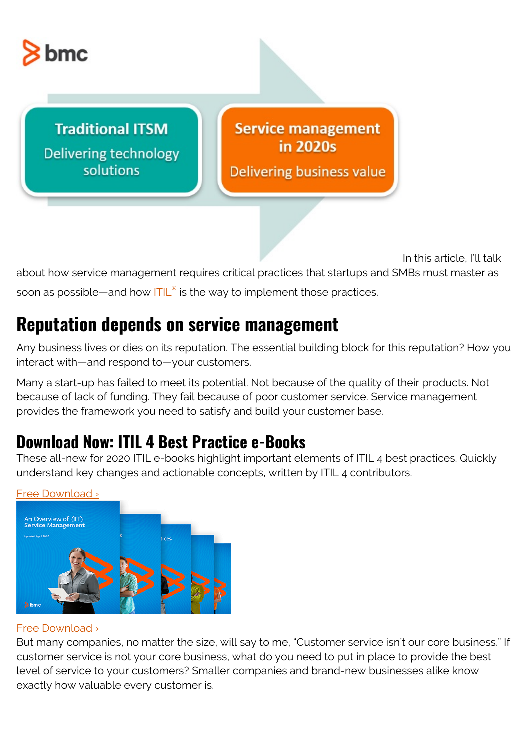

**Traditional ITSM** Delivering technology solutions

#### **Service management** in 2020s

Delivering business value

In this article, I'll talk about how service management requires critical practices that startups and SMBs must master as soon as possible—and how **[ITIL](https://blogs.bmc.com/blogs/itil-4/)[®](https://blogs.bmc.com/blogs/itil-4/)** is the way to implement those practices.

### **Reputation depends on service management**

Any business lives or dies on its reputation. The essential building block for this reputation? How you interact with—and respond to—your customers.

Many a start-up has failed to meet its potential. Not because of the quality of their products. Not because of lack of funding. They fail because of poor customer service. Service management provides the framework you need to satisfy and build your customer base.

#### **Download Now: ITIL 4 Best Practice e-Books**

These all-new for 2020 ITIL e-books highlight important elements of ITIL 4 best practices. Quickly understand key changes and actionable concepts, written by ITIL 4 contributors.



#### [Free Download ›](https://www.bmc.com/forms/itil-free-ebook.html)

#### [Free Download ›](https://www.bmc.com/forms/itil-free-ebook.html)

But many companies, no matter the size, will say to me, "Customer service isn't our core business." If customer service is not your core business, what do you need to put in place to provide the best level of service to your customers? Smaller companies and brand-new businesses alike know exactly how valuable every customer is.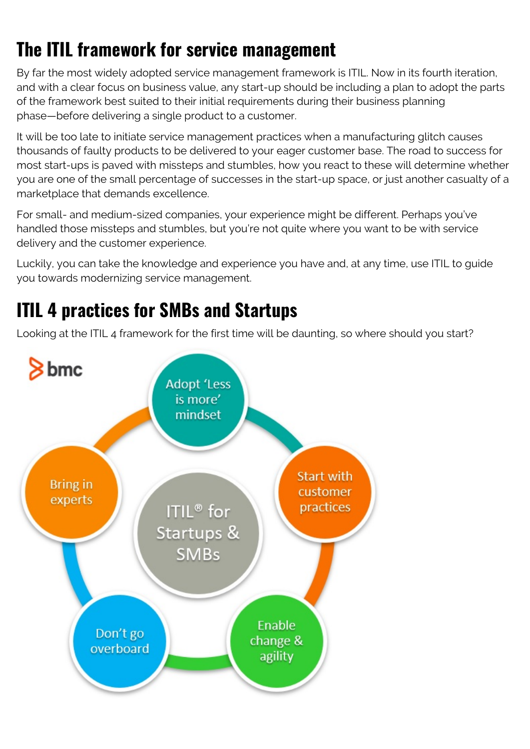# **The ITIL framework for service management**

By far the most widely adopted service management framework is ITIL. Now in its fourth iteration, and with a clear focus on business value, any start-up should be including a plan to adopt the parts of the framework best suited to their initial requirements during their business planning phase—before delivering a single product to a customer.

It will be too late to initiate service management practices when a manufacturing glitch causes thousands of faulty products to be delivered to your eager customer base. The road to success for most start-ups is paved with missteps and stumbles, how you react to these will determine whether you are one of the small percentage of successes in the start-up space, or just another casualty of a marketplace that demands excellence.

For small- and medium-sized companies, your experience might be different. Perhaps you've handled those missteps and stumbles, but you're not quite where you want to be with service delivery and the customer experience.

Luckily, you can take the knowledge and experience you have and, at any time, use ITIL to guide you towards modernizing service management.

# **ITIL 4 practices for SMBs and Startups**

Looking at the ITIL 4 framework for the first time will be daunting, so where should you start?

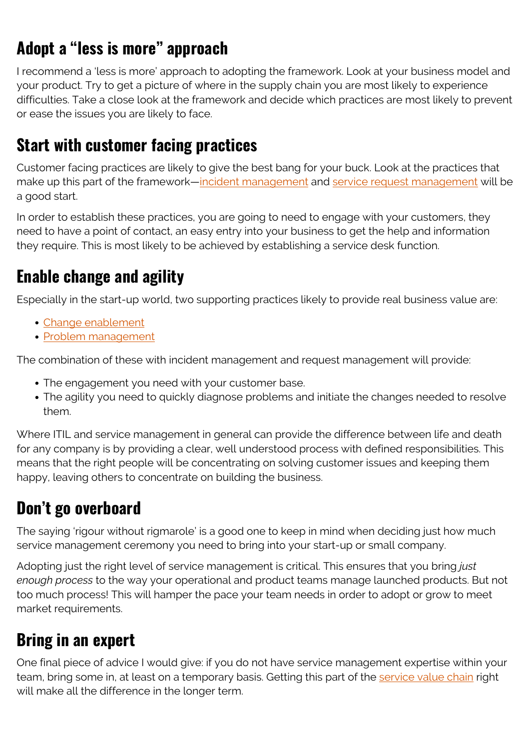## **Adopt a "less is more" approach**

I recommend a 'less is more' approach to adopting the framework. Look at your business model and your product. Try to get a picture of where in the supply chain you are most likely to experience difficulties. Take a close look at the framework and decide which practices are most likely to prevent or ease the issues you are likely to face.

#### **Start with customer facing practices**

Customer facing practices are likely to give the best bang for your buck. Look at the practices that make up this part of the framework[—incident management](https://blogs.bmc.com/blogs/itil-incident-management/) and [service request management](https://blogs.bmc.com/blogs/itil-service-request-management/) will be a good start.

In order to establish these practices, you are going to need to engage with your customers, they need to have a point of contact, an easy entry into your business to get the help and information they require. This is most likely to be achieved by establishing a service desk function.

### **Enable change and agility**

Especially in the start-up world, two supporting practices likely to provide real business value are:

- [Change enablement](https://blogs.bmc.com/blogs/itil-change-enablement/)
- [Problem management](https://blogs.bmc.com/blogs/itil-problem-management/)

The combination of these with incident management and request management will provide:

- The engagement you need with your customer base.
- The agility you need to quickly diagnose problems and initiate the changes needed to resolve them.

Where ITIL and service management in general can provide the difference between life and death for any company is by providing a clear, well understood process with defined responsibilities. This means that the right people will be concentrating on solving customer issues and keeping them happy, leaving others to concentrate on building the business.

#### **Don't go overboard**

The saying 'rigour without rigmarole' is a good one to keep in mind when deciding just how much service management ceremony you need to bring into your start-up or small company.

Adopting just the right level of service management is critical. This ensures that you bring *just enough process* to the way your operational and product teams manage launched products. But not too much process! This will hamper the pace your team needs in order to adopt or grow to meet market requirements.

### **Bring in an expert**

One final piece of advice I would give: if you do not have service management expertise within your team, bring some in, at least on a temporary basis. Getting this part of the [service value chain](https://blogs.bmc.com/blogs/itil-service-value-chain/) right will make all the difference in the longer term.